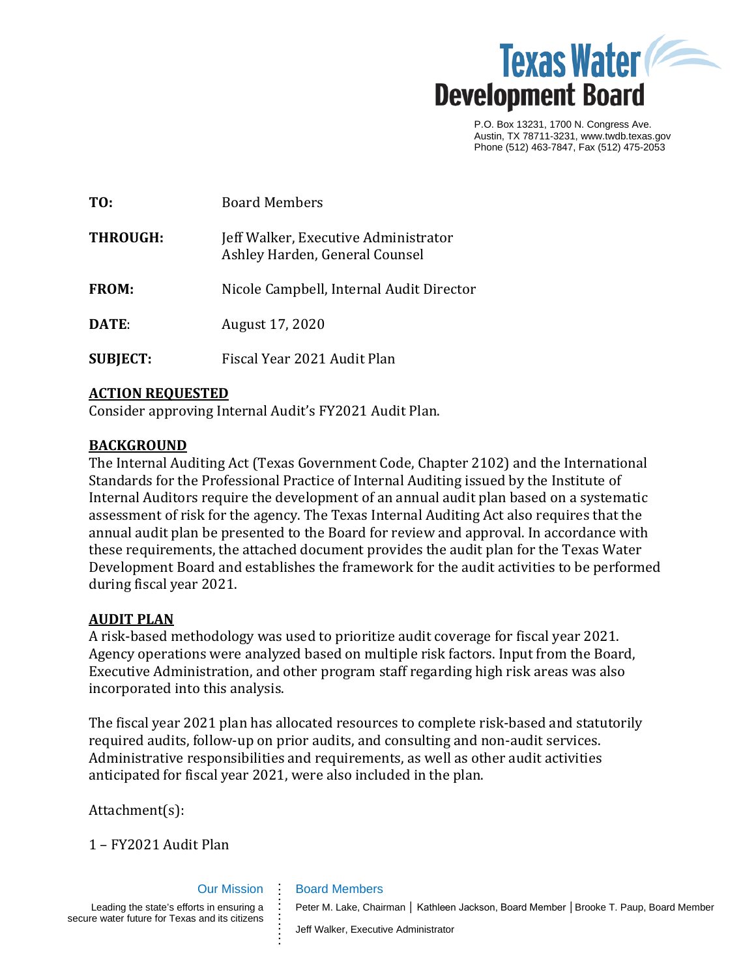

P.O. Box 13231, 1700 N. Congress Ave. Austin, TX 78711-3231, www.twdb.texas.gov Phone (512) 463-7847, Fax (512) 475-2053

| TO:             | <b>Board Members</b>                                                   |
|-----------------|------------------------------------------------------------------------|
| <b>THROUGH:</b> | Jeff Walker, Executive Administrator<br>Ashley Harden, General Counsel |
| <b>FROM:</b>    | Nicole Campbell, Internal Audit Director                               |
| DATE:           | August 17, 2020                                                        |
| <b>SUBJECT:</b> | Fiscal Year 2021 Audit Plan                                            |

### **ACTION REQUESTED**

Consider approving Internal Audit's FY2021 Audit Plan.

### **BACKGROUND**

The Internal Auditing Act (Texas Government Code, Chapter 2102) and the International Standards for the Professional Practice of Internal Auditing issued by the Institute of Internal Auditors require the development of an annual audit plan based on a systematic assessment of risk for the agency. The Texas Internal Auditing Act also requires that the annual audit plan be presented to the Board for review and approval. In accordance with these requirements, the attached document provides the audit plan for the Texas Water Development Board and establishes the framework for the audit activities to be performed during fiscal year 2021.

### **AUDIT PLAN**

A risk-based methodology was used to prioritize audit coverage for fiscal year 2021. Agency operations were analyzed based on multiple risk factors. Input from the Board, Executive Administration, and other program staff regarding high risk areas was also incorporated into this analysis.

The fiscal year 2021 plan has allocated resources to complete risk-based and statutorily required audits, follow-up on prior audits, and consulting and non-audit services. Administrative responsibilities and requirements, as well as other audit activities anticipated for fiscal year 2021, were also included in the plan.

Attachment(s):

1 – FY2021 Audit Plan

### Our Mission **. . . .**

**. . . . . . . . .**

Leading the state's efforts in ensuring a secure water future for Texas and its citizens

Peter M. Lake, Chairman | Kathleen Jackson, Board Member | Brooke T. Paup, Board Member

Jeff Walker, Executive Administrator

Board Members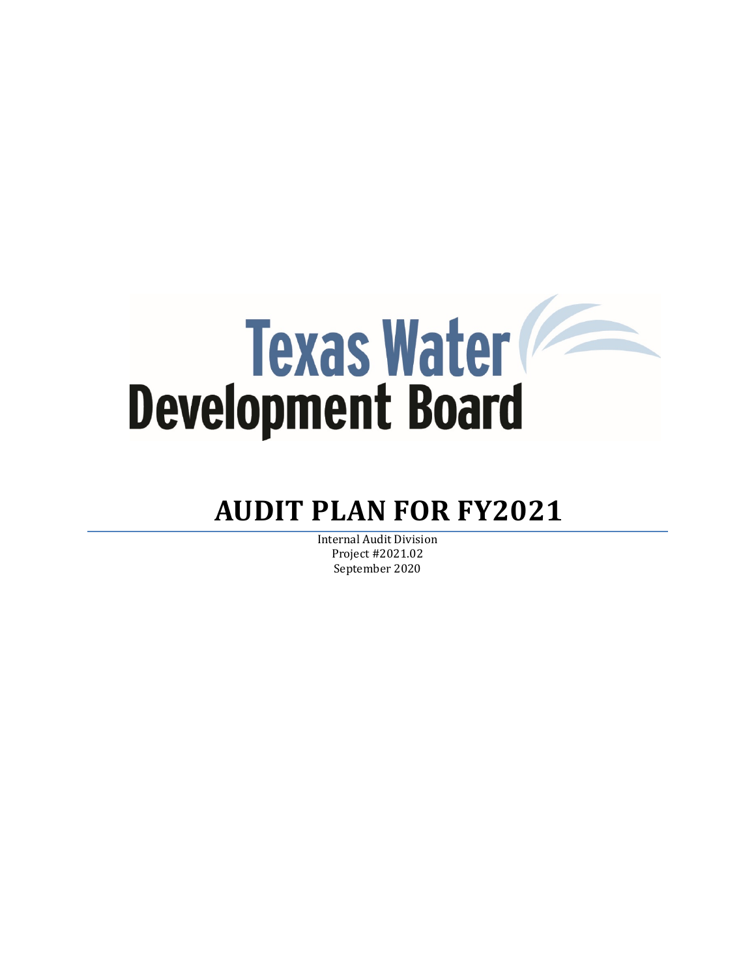# **Texas Water**

# **AUDIT PLAN FOR FY2021**

Internal Audit Division Project #2021.02 September 2020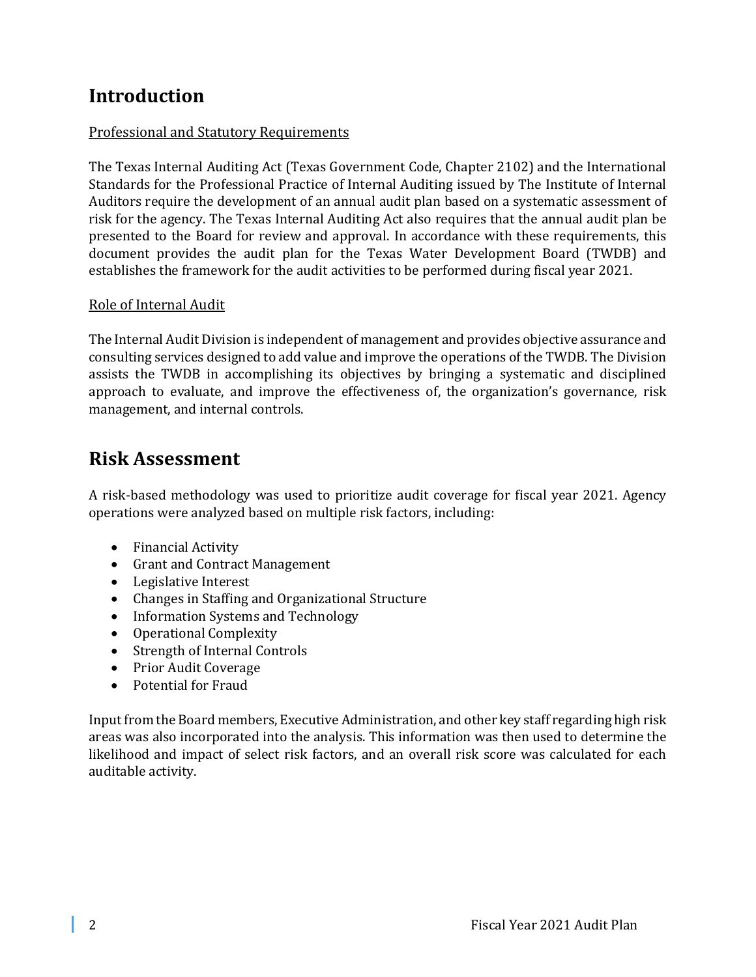# **Introduction**

# Professional and Statutory Requirements

The Texas Internal Auditing Act (Texas Government Code, Chapter 2102) and the International Standards for the Professional Practice of Internal Auditing issued by The Institute of Internal Auditors require the development of an annual audit plan based on a systematic assessment of risk for the agency. The Texas Internal Auditing Act also requires that the annual audit plan be presented to the Board for review and approval. In accordance with these requirements, this document provides the audit plan for the Texas Water Development Board (TWDB) and establishes the framework for the audit activities to be performed during fiscal year 2021.

## Role of Internal Audit

The Internal Audit Division is independent of management and provides objective assurance and consulting services designed to add value and improve the operations of the TWDB. The Division assists the TWDB in accomplishing its objectives by bringing a systematic and disciplined approach to evaluate, and improve the effectiveness of, the organization's governance, risk management, and internal controls.

# **Risk Assessment**

A risk-based methodology was used to prioritize audit coverage for fiscal year 2021. Agency operations were analyzed based on multiple risk factors, including:

- Financial Activity
- Grant and Contract Management
- Legislative Interest
- Changes in Staffing and Organizational Structure
- Information Systems and Technology
- Operational Complexity
- Strength of Internal Controls
- Prior Audit Coverage
- Potential for Fraud

Input from the Board members, Executive Administration, and other key staff regarding high risk areas was also incorporated into the analysis. This information was then used to determine the likelihood and impact of select risk factors, and an overall risk score was calculated for each auditable activity.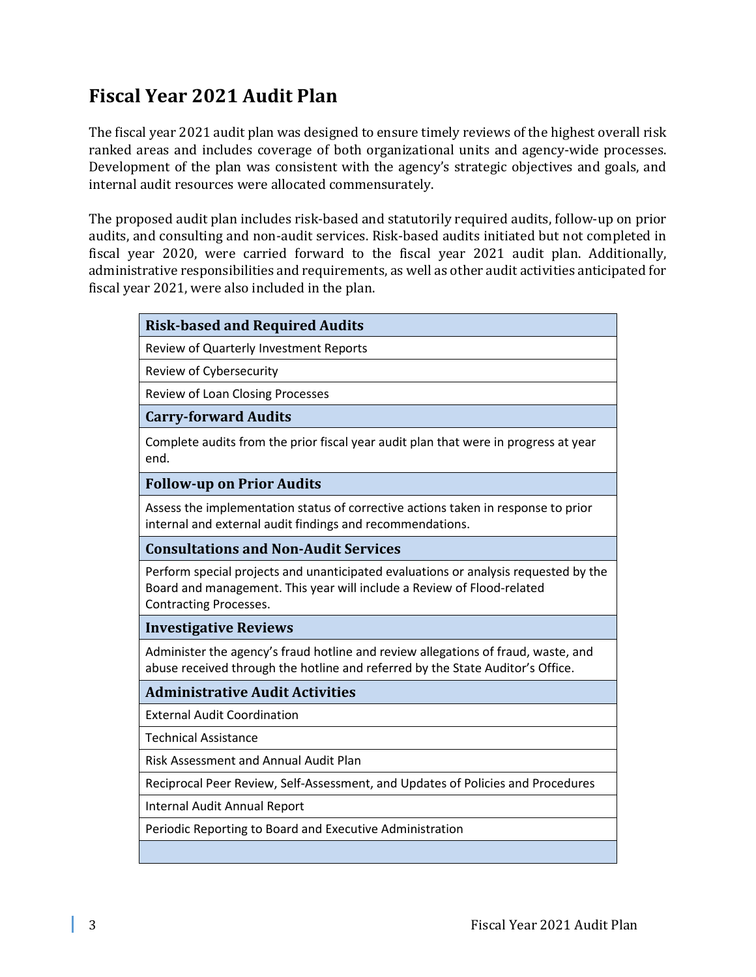# **Fiscal Year 2021 Audit Plan**

The fiscal year 2021 audit plan was designed to ensure timely reviews of the highest overall risk ranked areas and includes coverage of both organizational units and agency-wide processes. Development of the plan was consistent with the agency's strategic objectives and goals, and internal audit resources were allocated commensurately.

The proposed audit plan includes risk-based and statutorily required audits, follow-up on prior audits, and consulting and non-audit services. Risk-based audits initiated but not completed in fiscal year 2020, were carried forward to the fiscal year 2021 audit plan. Additionally, administrative responsibilities and requirements, as well as other audit activities anticipated for fiscal year 2021, were also included in the plan.

| <b>Risk-based and Required Audits</b>                                                                                                                                                          |  |
|------------------------------------------------------------------------------------------------------------------------------------------------------------------------------------------------|--|
| Review of Quarterly Investment Reports                                                                                                                                                         |  |
| Review of Cybersecurity                                                                                                                                                                        |  |
| <b>Review of Loan Closing Processes</b>                                                                                                                                                        |  |
| <b>Carry-forward Audits</b>                                                                                                                                                                    |  |
| Complete audits from the prior fiscal year audit plan that were in progress at year<br>end.                                                                                                    |  |
| <b>Follow-up on Prior Audits</b>                                                                                                                                                               |  |
| Assess the implementation status of corrective actions taken in response to prior<br>internal and external audit findings and recommendations.                                                 |  |
| <b>Consultations and Non-Audit Services</b>                                                                                                                                                    |  |
| Perform special projects and unanticipated evaluations or analysis requested by the<br>Board and management. This year will include a Review of Flood-related<br><b>Contracting Processes.</b> |  |
| <b>Investigative Reviews</b>                                                                                                                                                                   |  |
| Administer the agency's fraud hotline and review allegations of fraud, waste, and<br>abuse received through the hotline and referred by the State Auditor's Office.                            |  |
| <b>Administrative Audit Activities</b>                                                                                                                                                         |  |
| <b>External Audit Coordination</b>                                                                                                                                                             |  |
| <b>Technical Assistance</b>                                                                                                                                                                    |  |
| <b>Risk Assessment and Annual Audit Plan</b>                                                                                                                                                   |  |
| Reciprocal Peer Review, Self-Assessment, and Updates of Policies and Procedures                                                                                                                |  |
| Internal Audit Annual Report                                                                                                                                                                   |  |
| Periodic Reporting to Board and Executive Administration                                                                                                                                       |  |
|                                                                                                                                                                                                |  |